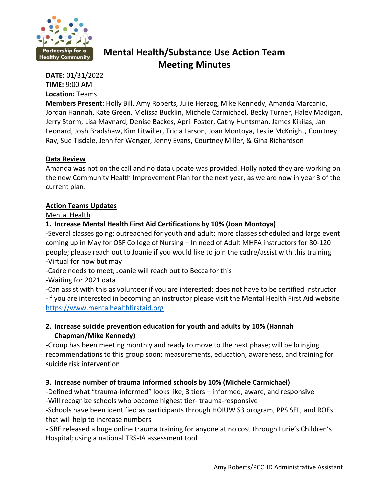

# **Mental Health/Substance Use Action Team Meeting Minutes**

**DATE:** 01/31/2022 **TIME:** 9:00 AM **Location:** Teams

**Members Present:** Holly Bill, Amy Roberts, Julie Herzog, Mike Kennedy, Amanda Marcanio, Jordan Hannah, Kate Green, Melissa Bucklin, Michele Carmichael, Becky Turner, Haley Madigan, Jerry Storm, Lisa Maynard, Denise Backes, April Foster, Cathy Huntsman, James Kikilas, Jan Leonard, Josh Bradshaw, Kim Litwiller, Tricia Larson, Joan Montoya, Leslie McKnight, Courtney Ray, Sue Tisdale, Jennifer Wenger, Jenny Evans, Courtney Miller, & Gina Richardson

## **Data Review**

Amanda was not on the call and no data update was provided. Holly noted they are working on the new Community Health Improvement Plan for the next year, as we are now in year 3 of the current plan.

## **Action Teams Updates**

Mental Health

# **1. Increase Mental Health First Aid Certifications by 10% (Joan Montoya)**

-Several classes going; outreached for youth and adult; more classes scheduled and large event coming up in May for OSF College of Nursing – In need of Adult MHFA instructors for 80-120 people; please reach out to Joanie if you would like to join the cadre/assist with this training -Virtual for now but may

-Cadre needs to meet; Joanie will reach out to Becca for this

-Waiting for 2021 data

-Can assist with this as volunteer if you are interested; does not have to be certified instructor -If you are interested in becoming an instructor please visit the Mental Health First Aid website [https://www.mentalhealthfirstaid.org](https://www.mentalhealthfirstaid.org/)

# **2. Increase suicide prevention education for youth and adults by 10% (Hannah Chapman/Mike Kennedy)**

-Group has been meeting monthly and ready to move to the next phase; will be bringing recommendations to this group soon; measurements, education, awareness, and training for suicide risk intervention

# **3. Increase number of trauma informed schools by 10% (Michele Carmichael)**

-Defined what "trauma-informed" looks like; 3 tiers – informed, aware, and responsive -Will recognize schools who become highest tier- trauma-responsive

-Schools have been identified as participants through HOIUW S3 program, PPS SEL, and ROEs that will help to increase numbers

-ISBE released a huge online trauma training for anyone at no cost through Lurie's Children's Hospital; using a national TRS-IA assessment tool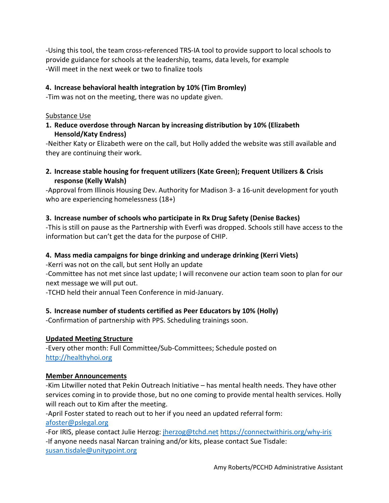-Using this tool, the team cross-referenced TRS-IA tool to provide support to local schools to provide guidance for schools at the leadership, teams, data levels, for example -Will meet in the next week or two to finalize tools

# **4. Increase behavioral health integration by 10% (Tim Bromley)**

-Tim was not on the meeting, there was no update given.

#### Substance Use

**1. Reduce overdose through Narcan by increasing distribution by 10% (Elizabeth Hensold/Katy Endress)**

-Neither Katy or Elizabeth were on the call, but Holly added the website was still available and they are continuing their work.

**2. Increase stable housing for frequent utilizers (Kate Green); Frequent Utilizers & Crisis response (Kelly Walsh)**

-Approval from Illinois Housing Dev. Authority for Madison 3- a 16-unit development for youth who are experiencing homelessness (18+)

## **3. Increase number of schools who participate in Rx Drug Safety (Denise Backes)**

-This is still on pause as the Partnership with Everfi was dropped. Schools still have access to the information but can't get the data for the purpose of CHIP.

#### **4. Mass media campaigns for binge drinking and underage drinking (Kerri Viets)**

-Kerri was not on the call, but sent Holly an update

-Committee has not met since last update; I will reconvene our action team soon to plan for our next message we will put out.

-TCHD held their annual Teen Conference in mid-January.

# **5. Increase number of students certified as Peer Educators by 10% (Holly)**

-Confirmation of partnership with PPS. Scheduling trainings soon.

#### **Updated Meeting Structure**

-Every other month: Full Committee/Sub-Committees; Schedule posted on [http://healthyhoi.org](http://healthyhoi.org/)

#### **Member Announcements**

-Kim Litwiller noted that Pekin Outreach Initiative – has mental health needs. They have other services coming in to provide those, but no one coming to provide mental health services. Holly will reach out to Kim after the meeting.

-April Foster stated to reach out to her if you need an updated referral form: [afoster@pslegal.org](mailto:afoster@pslegal.org)

-For IRIS, please contact Julie Herzog: *jherzog@tchd.net <https://connectwithiris.org/why-iris>* -If anyone needs nasal Narcan training and/or kits, please contact Sue Tisdale: [susan.tisdale@unitypoint.org](mailto:susan.tisdale@unitypoint.org)